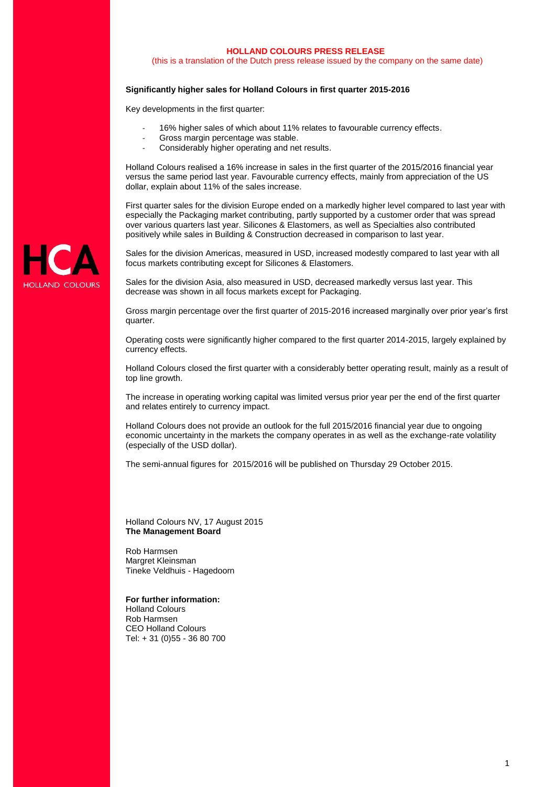#### **HOLLAND COLOURS PRESS RELEASE**

(this is a translation of the Dutch press release issued by the company on the same date)

## **Significantly higher sales for Holland Colours in first quarter 2015-2016**

Key developments in the first quarter:

- 16% higher sales of which about 11% relates to favourable currency effects.
- Gross margin percentage was stable.
- Considerably higher operating and net results.

Holland Colours realised a 16% increase in sales in the first quarter of the 2015/2016 financial year versus the same period last year. Favourable currency effects, mainly from appreciation of the US dollar, explain about 11% of the sales increase.

First quarter sales for the division Europe ended on a markedly higher level compared to last year with especially the Packaging market contributing, partly supported by a customer order that was spread over various quarters last year. Silicones & Elastomers, as well as Specialties also contributed positively while sales in Building & Construction decreased in comparison to last year.

Sales for the division Americas, measured in USD, increased modestly compared to last year with all focus markets contributing except for Silicones & Elastomers.

Sales for the division Asia, also measured in USD, decreased markedly versus last year. This decrease was shown in all focus markets except for Packaging.

Gross margin percentage over the first quarter of 2015-2016 increased marginally over prior year's first quarter.

Operating costs were significantly higher compared to the first quarter 2014-2015, largely explained by currency effects.

Holland Colours closed the first quarter with a considerably better operating result, mainly as a result of top line growth.

The increase in operating working capital was limited versus prior year per the end of the first quarter and relates entirely to currency impact.

Holland Colours does not provide an outlook for the full 2015/2016 financial year due to ongoing economic uncertainty in the markets the company operates in as well as the exchange-rate volatility (especially of the USD dollar).

The semi-annual figures for 2015/2016 will be published on Thursday 29 October 2015.

Holland Colours NV, 17 August 2015 **The Management Board**

Rob Harmsen Margret Kleinsman Tineke Veldhuis - Hagedoorn

**For further information:**  Holland Colours Rob Harmsen CEO Holland Colours Tel: + 31 (0)55 - 36 80 700